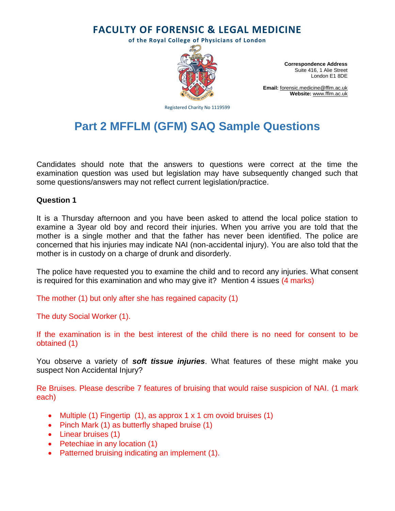# **FACULTY OF FORENSIC & LEGAL MEDICINE**

**of the Royal College of Physicians of London**



**Correspondence Address** Suite 416, 1 Alie Street London E1 8DE

**Email:** [forensic.medicine@fflm.ac.uk](mailto:forensic.medicine@fflm.ac.uk) **Website:** [www.fflm.ac.uk](http://www.fflm.ac.uk/)

Registered Charity No 1119599

# **Part 2 MFFLM (GFM) SAQ Sample Questions**

Candidates should note that the answers to questions were correct at the time the examination question was used but legislation may have subsequently changed such that some questions/answers may not reflect current legislation/practice.

#### **Question 1**

It is a Thursday afternoon and you have been asked to attend the local police station to examine a 3year old boy and record their injuries. When you arrive you are told that the mother is a single mother and that the father has never been identified. The police are concerned that his injuries may indicate NAI (non-accidental injury). You are also told that the mother is in custody on a charge of drunk and disorderly.

The police have requested you to examine the child and to record any injuries. What consent is required for this examination and who may give it? Mention 4 issues (4 marks)

The mother (1) but only after she has regained capacity (1)

The duty Social Worker (1).

If the examination is in the best interest of the child there is no need for consent to be obtained (1)

You observe a variety of *soft tissue injuries*. What features of these might make you suspect Non Accidental Injury?

Re Bruises. Please describe 7 features of bruising that would raise suspicion of NAI. (1 mark each)

- Multiple (1) Fingertip (1), as approx  $1 \times 1$  cm ovoid bruises (1)
- Pinch Mark (1) as butterfly shaped bruise (1)
- Linear bruises (1)
- Petechiae in any location (1)
- Patterned bruising indicating an implement (1).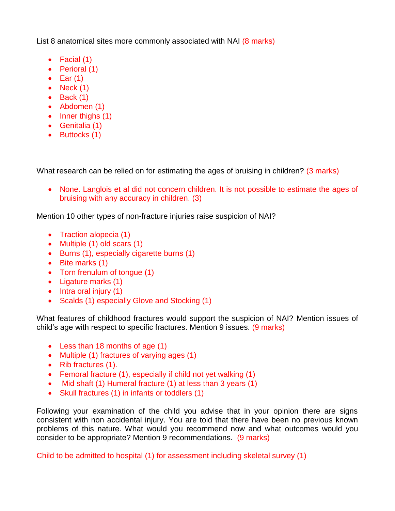List 8 anatomical sites more commonly associated with NAI (8 marks)

- Facial (1)
- Perioral (1)
- $\bullet$  Ear (1)
- $\bullet$  Neck (1)
- $\bullet$  Back (1)
- Abdomen (1)
- $\bullet$  Inner thighs (1)
- Genitalia (1)
- Buttocks (1)

What research can be relied on for estimating the ages of bruising in children? (3 marks)

• None. Langlois et al did not concern children. It is not possible to estimate the ages of bruising with any accuracy in children. (3)

Mention 10 other types of non-fracture injuries raise suspicion of NAI?

- Traction alopecia (1)
- Multiple (1) old scars (1)
- Burns (1), especially cigarette burns (1)
- Bite marks (1)
- Torn frenulum of tongue (1)
- Ligature marks (1)
- $\bullet$  Intra oral injury (1)
- Scalds (1) especially Glove and Stocking (1)

What features of childhood fractures would support the suspicion of NAI? Mention issues of child's age with respect to specific fractures. Mention 9 issues. (9 marks)

- Less than 18 months of age (1)
- Multiple (1) fractures of varying ages (1)
- Rib fractures (1).
- Femoral fracture (1), especially if child not yet walking (1)
- Mid shaft (1) Humeral fracture (1) at less than 3 years (1)
- Skull fractures (1) in infants or toddlers (1)

Following your examination of the child you advise that in your opinion there are signs consistent with non accidental injury. You are told that there have been no previous known problems of this nature. What would you recommend now and what outcomes would you consider to be appropriate? Mention 9 recommendations. (9 marks)

Child to be admitted to hospital (1) for assessment including skeletal survey (1)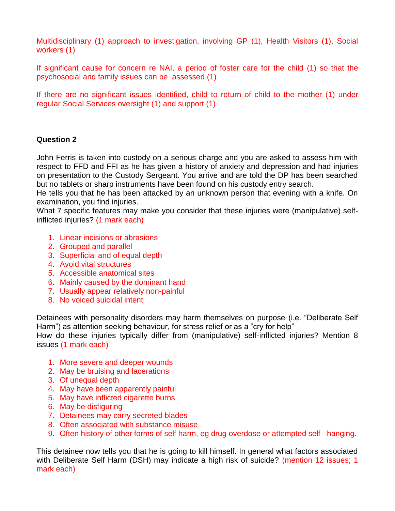Multidisciplinary (1) approach to investigation, involving GP (1), Health Visitors (1), Social workers (1)

If significant cause for concern re NAI, a period of foster care for the child (1) so that the psychosocial and family issues can be assessed (1)

If there are no significant issues identified, child to return of child to the mother (1) under regular Social Services oversight (1) and support (1)

#### **Question 2**

John Ferris is taken into custody on a serious charge and you are asked to assess him with respect to FFD and FFI as he has given a history of anxiety and depression and had injuries on presentation to the Custody Sergeant. You arrive and are told the DP has been searched but no tablets or sharp instruments have been found on his custody entry search.

He tells you that he has been attacked by an unknown person that evening with a knife. On examination, you find injuries.

What 7 specific features may make you consider that these injuries were (manipulative) selfinflicted injuries? (1 mark each)

- 1. Linear incisions or abrasions
- 2. Grouped and parallel
- 3. Superficial and of equal depth
- 4. Avoid vital structures
- 5. Accessible anatomical sites
- 6. Mainly caused by the dominant hand
- 7. Usually appear relatively non-painful
- 8. No voiced suicidal intent

Detainees with personality disorders may harm themselves on purpose (i.e. "Deliberate Self Harm") as attention seeking behaviour, for stress relief or as a "cry for help"

How do these injuries typically differ from (manipulative) self-inflicted injuries? Mention 8 issues (1 mark each)

- 1. More severe and deeper wounds
- 2. May be bruising and lacerations
- 3. Of unequal depth
- 4. May have been apparently painful
- 5. May have inflicted cigarette burns
- 6. May be disfiguring
- 7. Detainees may carry secreted blades
- 8. Often associated with substance misuse
- 9. Often history of other forms of self harm, eg drug overdose or attempted self –hanging.

This detainee now tells you that he is going to kill himself. In general what factors associated with Deliberate Self Harm (DSH) may indicate a high risk of suicide? (mention 12 issues; 1 mark each)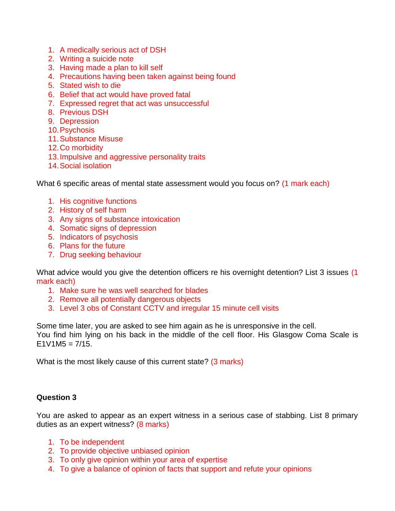- 1. A medically serious act of DSH
- 2. Writing a suicide note
- 3. Having made a plan to kill self
- 4. Precautions having been taken against being found
- 5. Stated wish to die
- 6. Belief that act would have proved fatal
- 7. Expressed regret that act was unsuccessful
- 8. Previous DSH
- 9. Depression
- 10.Psychosis
- 11.Substance Misuse
- 12.Co morbidity
- 13.Impulsive and aggressive personality traits
- 14.Social isolation

What 6 specific areas of mental state assessment would you focus on? (1 mark each)

- 1. His cognitive functions
- 2. History of self harm
- 3. Any signs of substance intoxication
- 4. Somatic signs of depression
- 5. Indicators of psychosis
- 6. Plans for the future
- 7. Drug seeking behaviour

What advice would you give the detention officers re his overnight detention? List 3 issues (1) mark each)

- 1. Make sure he was well searched for blades
- 2. Remove all potentially dangerous objects
- 3. Level 3 obs of Constant CCTV and irregular 15 minute cell visits

Some time later, you are asked to see him again as he is unresponsive in the cell. You find him lying on his back in the middle of the cell floor. His Glasgow Coma Scale is  $E1V1M5 = 7/15.$ 

What is the most likely cause of this current state? (3 marks)

#### **Question 3**

You are asked to appear as an expert witness in a serious case of stabbing. List 8 primary duties as an expert witness? (8 marks)

- 1. To be independent
- 2. To provide objective unbiased opinion
- 3. To only give opinion within your area of expertise
- 4. To give a balance of opinion of facts that support and refute your opinions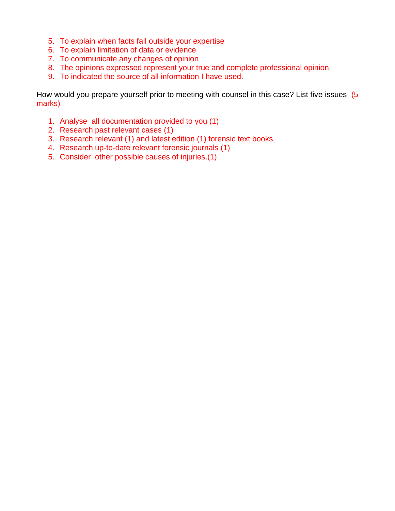- 5. To explain when facts fall outside your expertise
- 6. To explain limitation of data or evidence
- 7. To communicate any changes of opinion
- 8. The opinions expressed represent your true and complete professional opinion.
- 9. To indicated the source of all information I have used.

How would you prepare yourself prior to meeting with counsel in this case? List five issues (5 marks)

- 1. Analyse all documentation provided to you (1)
- 2. Research past relevant cases (1)
- 3. Research relevant (1) and latest edition (1) forensic text books
- 4. Research up-to-date relevant forensic journals (1)
- 5. Consider other possible causes of injuries.(1)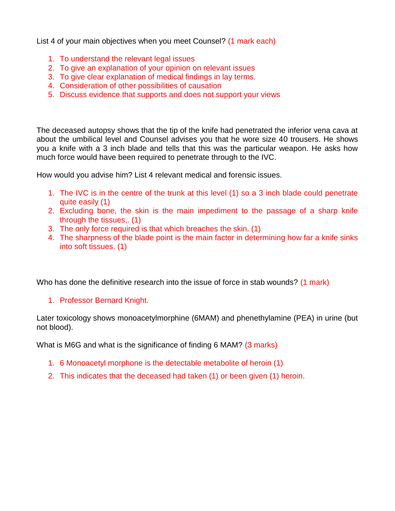List 4 of your main objectives when you meet Counsel? (1 mark each)

- 1. To understand the relevant legal issues
- 2. To give an explanation of your opinion on relevant issues
- 3. To give clear explanation of medical findings in lay terms.
- 4. Consideration of other possibilities of causation
- 5. Discuss evidence that supports and does not support your views

The deceased autopsy shows that the tip of the knife had penetrated the inferior vena cava at about the umbilical level and Counsel advises you that he wore size 40 trousers. He shows you a knife with a 3 inch blade and tells that this was the particular weapon. He asks how much force would have been required to penetrate through to the IVC.

How would you advise him? List 4 relevant medical and forensic issues.

- 1. The IVC is in the centre of the trunk at this level (1) so a 3 inch blade could penetrate quite easily (1)
- 2. Excluding bone, the skin is the main impediment to the passage of a sharp knife through the tissues,. (1)
- 3. The only force required is that which breaches the skin. (1)
- 4. The sharpness of the blade point is the main factor in determining how far a knife sinks into soft tissues. (1)

Who has done the definitive research into the issue of force in stab wounds? (1 mark)

# 1. Professor Bernard Knight.

Later toxicology shows monoacetylmorphine (6MAM) and phenethylamine (PEA) in urine (but not blood).

What is M6G and what is the significance of finding 6 MAM? (3 marks)

- 1. 6 Monoacetyl morphone is the detectable [metabolite](http://en.wikipedia.org/wiki/Metabolite) of [heroin](http://en.wikipedia.org/wiki/Morphine) (1)
- 2. This indicates that the deceased had taken (1) or been given (1) heroin.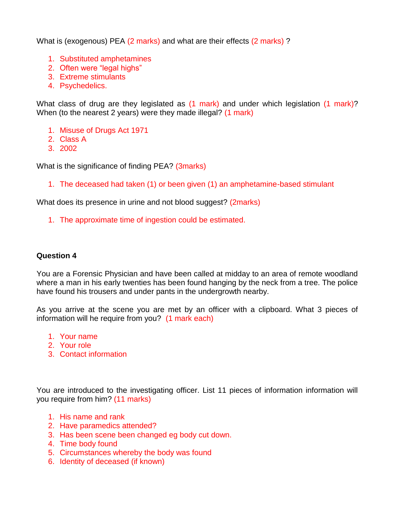What is (exogenous) PEA (2 marks) and what are their effects (2 marks) ?

- 1. Substituted amphetamines
- 2. Often were "legal highs"
- 3. Extreme stimulants
- 4. Psychedelics.

What class of drug are they legislated as (1 mark) and under which legislation (1 mark)? When (to the nearest 2 years) were they made illegal? (1 mark)

- 1. Misuse of Drugs Act 1971
- 2. Class A
- 3. 2002

What is the significance of finding PEA? (3marks)

1. The deceased had taken (1) or been given (1) an amphetamine-based stimulant

What does its presence in urine and not blood suggest? (2marks)

1. The approximate time of ingestion could be estimated.

### **Question 4**

You are a Forensic Physician and have been called at midday to an area of remote woodland where a man in his early twenties has been found hanging by the neck from a tree. The police have found his trousers and under pants in the undergrowth nearby.

As you arrive at the scene you are met by an officer with a clipboard. What 3 pieces of information will he require from you? (1 mark each)

- 1. Your name
- 2. Your role
- 3. Contact information

You are introduced to the investigating officer. List 11 pieces of information information will you require from him? (11 marks)

- 1. His name and rank
- 2. Have paramedics attended?
- 3. Has been scene been changed eg body cut down.
- 4. Time body found
- 5. Circumstances whereby the body was found
- 6. Identity of deceased (if known)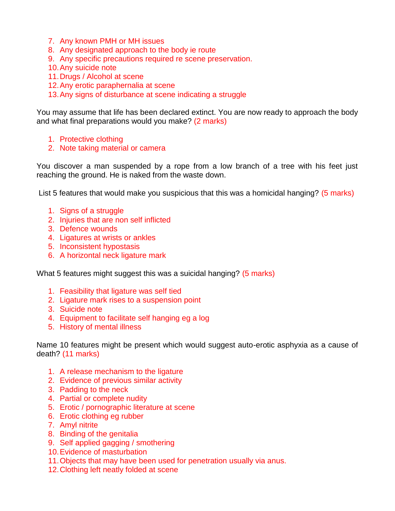- 7. Any known PMH or MH issues
- 8. Any designated approach to the body ie route
- 9. Any specific precautions required re scene preservation.
- 10.Any suicide note
- 11.Drugs / Alcohol at scene
- 12.Any erotic paraphernalia at scene
- 13.Any signs of disturbance at scene indicating a struggle

You may assume that life has been declared extinct. You are now ready to approach the body and what final preparations would you make? (2 marks)

- 1. Protective clothing
- 2. Note taking material or camera

You discover a man suspended by a rope from a low branch of a tree with his feet just reaching the ground. He is naked from the waste down.

List 5 features that would make you suspicious that this was a homicidal hanging? (5 marks)

- 1. Signs of a struggle
- 2. Injuries that are non self inflicted
- 3. Defence wounds
- 4. Ligatures at wrists or ankles
- 5. Inconsistent hypostasis
- 6. A horizontal neck ligature mark

What 5 features might suggest this was a suicidal hanging? (5 marks)

- 1. Feasibility that ligature was self tied
- 2. Ligature mark rises to a suspension point
- 3. Suicide note
- 4. Equipment to facilitate self hanging eg a log
- 5. History of mental illness

Name 10 features might be present which would suggest auto-erotic asphyxia as a cause of death? (11 marks)

- 1. A release mechanism to the ligature
- 2. Evidence of previous similar activity
- 3. Padding to the neck
- 4. Partial or complete nudity
- 5. Erotic / pornographic literature at scene
- 6. Erotic clothing eg rubber
- 7. Amyl nitrite
- 8. Binding of the genitalia
- 9. Self applied gagging / smothering
- 10.Evidence of masturbation
- 11.Objects that may have been used for penetration usually via anus.
- 12.Clothing left neatly folded at scene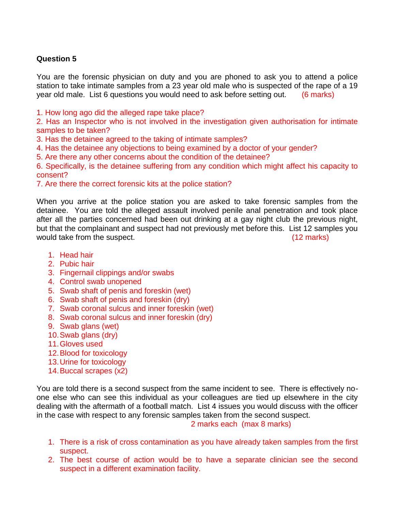# **Question 5**

You are the forensic physician on duty and you are phoned to ask you to attend a police station to take intimate samples from a 23 year old male who is suspected of the rape of a 19 year old male. List 6 questions you would need to ask before setting out. (6 marks)

1. How long ago did the alleged rape take place?

2. Has an Inspector who is not involved in the investigation given authorisation for intimate samples to be taken?

3. Has the detainee agreed to the taking of intimate samples?

4. Has the detainee any objections to being examined by a doctor of your gender?

5. Are there any other concerns about the condition of the detainee?

6. Specifically, is the detainee suffering from any condition which might affect his capacity to consent?

7. Are there the correct forensic kits at the police station?

When you arrive at the police station you are asked to take forensic samples from the detainee. You are told the alleged assault involved penile anal penetration and took place after all the parties concerned had been out drinking at a gay night club the previous night, but that the complainant and suspect had not previously met before this. List 12 samples you would take from the suspect. The suspect of the suspect of the suspect of the suspect of the suspect of the suspect

- 1. Head hair
- 2. Pubic hair
- 3. Fingernail clippings and/or swabs
- 4. Control swab unopened
- 5. Swab shaft of penis and foreskin (wet)
- 6. Swab shaft of penis and foreskin (dry)
- 7. Swab coronal sulcus and inner foreskin (wet)
- 8. Swab coronal sulcus and inner foreskin (dry)
- 9. Swab glans (wet)
- 10.Swab glans (dry)
- 11.Gloves used
- 12.Blood for toxicology
- 13.Urine for toxicology
- 14.Buccal scrapes (x2)

You are told there is a second suspect from the same incident to see. There is effectively noone else who can see this individual as your colleagues are tied up elsewhere in the city dealing with the aftermath of a football match. List 4 issues you would discuss with the officer in the case with respect to any forensic samples taken from the second suspect.

2 marks each (max 8 marks)

- 1. There is a risk of cross contamination as you have already taken samples from the first suspect.
- 2. The best course of action would be to have a separate clinician see the second suspect in a different examination facility.